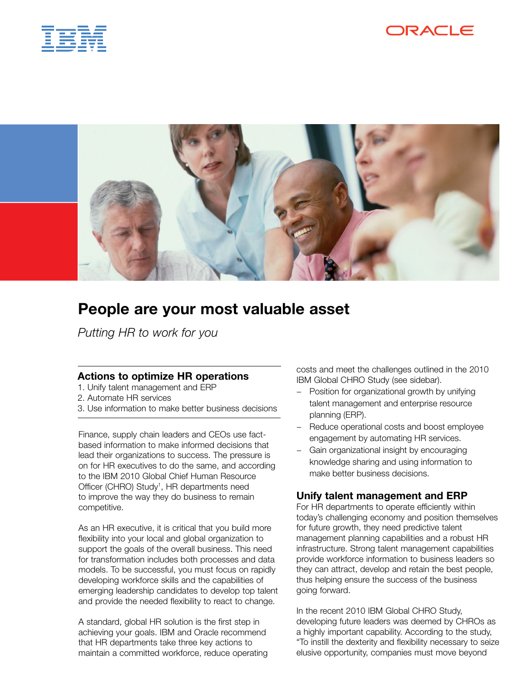





# People are your most valuable asset

*Putting HR to work for you* 

### Actions to optimize HR operations

- 1. Unify talent management and ERP
- 2. Automate HR services
- 3. Use information to make better business decisions

Finance, supply chain leaders and CEOs use factbased information to make informed decisions that lead their organizations to success. The pressure is on for HR executives to do the same, and according to the IBM 2010 Global Chief Human Resource Officer (CHRO) Study<sup>1</sup>, HR departments need to improve the way they do business to remain competitive.

As an HR executive, it is critical that you build more flexibility into your local and global organization to support the goals of the overall business. This need for transformation includes both processes and data models. To be successful, you must focus on rapidly developing workforce skills and the capabilities of emerging leadership candidates to develop top talent and provide the needed flexibility to react to change.

A standard, global HR solution is the first step in achieving your goals. IBM and Oracle recommend that HR departments take three key actions to maintain a committed workforce, reduce operating costs and meet the challenges outlined in the 2010 IBM Global CHRO Study (see sidebar).

- − Position for organizational growth by unifying talent management and enterprise resource planning (ERP).
- − Reduce operational costs and boost employee engagement by automating HR services.
- Gain organizational insight by encouraging knowledge sharing and using information to make better business decisions.

## Unify talent management and ERP

For HR departments to operate efficiently within today's challenging economy and position themselves for future growth, they need predictive talent management planning capabilities and a robust HR infrastructure. Strong talent management capabilities provide workforce information to business leaders so they can attract, develop and retain the best people, thus helping ensure the success of the business going forward.

In the recent 2010 IBM Global CHRO Study, developing future leaders was deemed by CHROs as a highly important capability. According to the study, "To instill the dexterity and flexibility necessary to seize elusive opportunity, companies must move beyond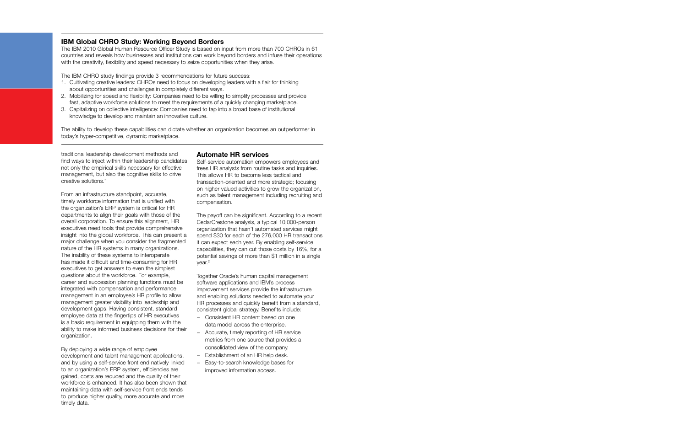### IBM Global CHRO Study: Working Beyond Borders

The IBM 2010 Global Human Resource Officer Study is based on input from more than 700 CHROs in 61 countries and reveals how businesses and institutions can work beyond borders and infuse their operations with the creativity, flexibility and speed necessary to seize opportunities when they arise.

The IBM CHRO study findings provide 3 recommendations for future success:

- 1. Cultivating creative leaders: CHROs need to focus on developing leaders with a flair for thinking about opportunities and challenges in completely different ways.
- 2. Mobilizing for speed and flexibility: Companies need to be willing to simplify processes and provide fast, adaptive workforce solutions to meet the requirements of a quickly changing marketplace.
- 3. Capitalizing on collective intelligence: Companies need to tap into a broad base of institutional knowledge to develop and maintain an innovative culture.

The ability to develop these capabilities can dictate whether an organization becomes an outperformer in today's hyper-competitive, dynamic marketplace.

traditional leadership development methods and find ways to inject within their leadership candidates not only the empirical skills necessary for effective management, but also the cognitive skills to drive creative solutions."

From an infrastructure standpoint, accurate, timely workforce information that is unified with the organization's ERP system is critical for HR departments to align their goals with those of the overall corporation. To ensure this alignment, HR executives need tools that provide comprehensive insight into the global workforce. This can present a major challenge when you consider the fragmented nature of the HR systems in many organizations. The inability of these systems to interoperate has made it difficult and time-consuming for HR executives to get answers to even the simplest questions about the workforce. For example, career and succession planning functions must be integrated with compensation and performance management in an employee's HR profile to allow management greater visibility into leadership and development gaps. Having consistent, standard employee data at the fingertips of HR executives is a basic requirement in equipping them with the ability to make informed business decisions for their organization.

By deploying a wide range of employee development and talent management applications, and by using a self-service front end natively linked to an organization's ERP system, efficiencies are gained, costs are reduced and the quality of their workforce is enhanced. It has also been shown that maintaining data with self-service front ends tends to produce higher quality, more accurate and more timely data.

### Automate HR services

Self-service automation empowers employees and frees HR analysts from routine tasks and inquiries. This allows HR to become less tactical and transaction-oriented and more strategic; focusing on higher valued activities to grow the organization, such as talent management including recruiting and compensation.

The payoff can be significant. According to a recent CedarCrestone analysis, a typical 10,000-person organization that hasn't automated services might spend \$30 for each of the 276,000 HR transactions it can expect each year. By enabling self-service capabilities, they can cut those costs by 16%, for a potential savings of more than \$1 million in a single year.2

Together Oracle's human capital management software applications and IBM's process improvement services provide the infrastructure and enabling solutions needed to automate your HR processes and quickly benefit from a standard, consistent global strategy. Benefits include:

- − Consistent HR content based on one data model across the enterprise.
- − Accurate, timely reporting of HR service metrics from one source that provides a consolidated view of the company.
- − Establishment of an HR help desk.
- − Easy-to-search knowledge bases for improved information access.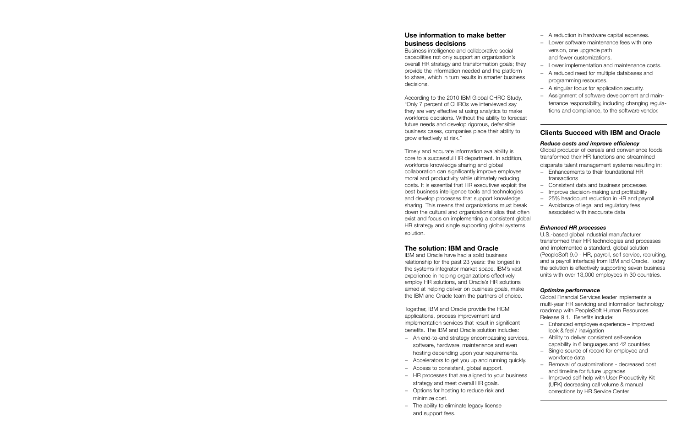## Use information to make better business decisions

Business intelligence and collaborative social capabilities not only support an organization's overall HR strategy and transformation goals; they provide the information needed and the platform to share, which in turn results in smarter business decisions.

According to the 2010 IBM Global CHRO Study, "Only 7 percent of CHROs we interviewed say they are very effective at using analytics to make workforce decisions. Without the ability to forecast future needs and develop rigorous, defensible business cases, companies place their ability to grow effectively at risk."

Timely and accurate information availability is core to a successful HR department. In addition, workforce knowledge sharing and global collaboration can significantly improve employee moral and productivity while ultimately reducing costs. It is essential that HR executives exploit the best business intelligence tools and technologies and develop processes that support knowledge sharing. This means that organizations must break down the cultural and organizational silos that often exist and focus on implementing a consistent global HR strategy and single supporting global systems solution.

## The solution: IBM and Oracle

IBM and Oracle have had a solid business relationship for the past 23 years: the longest in the systems integrator market space. IBM's vast experience in helping organizations effectively employ HR solutions, and Oracle's HR solutions aimed at helping deliver on business goals, make the IBM and Oracle team the partners of choice.

Together, IBM and Oracle provide the HCM applications, process improvement and implementation services that result in significant benefits. The IBM and Oracle solution includes:

- − An end-to-end strategy encompassing services, software, hardware, maintenance and even hosting depending upon your requirements.
- − Accelerators to get you up and running quickly.
- − Access to consistent, global support.
- − HR processes that are aligned to your business strategy and meet overall HR goals.
- − Options for hosting to reduce risk and minimize cost.
- − The ability to eliminate legacy license and support fees.
- − A reduction in hardware capital expenses.
- − Lower software maintenance fees with one version, one upgrade path and fewer customizations.
- − Lower implementation and maintenance costs.
- − A reduced need for multiple databases and programming resources.
- − A singular focus for application security.
- − Assignment of software development and maintenance responsibility, including changing regulations and compliance, to the software vendor.

## Clients Succeed with IBM and Oracle

#### *Reduce costs and improve efficiency*

Global producer of cereals and convenience foods transformed their HR functions and streamlined

- disparate talent management systems resulting in: − Enhancements to their foundational HR transactions
- − Consistent data and business processes
- − Improve decision-making and profitability
- − 25% headcount reduction in HR and payroll
- − Avoidance of legal and regulatory fees associated with inaccurate data

#### *Enhanced HR processes*

U.S.-based global industrial manufacturer, transformed their HR technologies and processes and implemented a standard, global solution (PeopleSoft 9.0 - HR, payroll, self service, recruiting, and a payroll interface) from IBM and Oracle. Today the solution is effectively supporting seven business units with over 13,000 employees in 30 countries.

#### *Optimize performance*

Global Financial Services leader implements a multi-year HR servicing and information technology roadmap with PeopleSoft Human Resources Release 9.1. Benefits include:

- − Enhanced employee experience improved look & feel / inavigation
- − Ability to deliver consistent self-service capability in 6 languages and 42 countries
- − Single source of record for employee and workforce data
- − Removal of customizations decreased cost and timeline for future upgrades
- Improved self-help with User Productivity Kit (UPK) decreasing call volume & manual corrections by HR Service Center